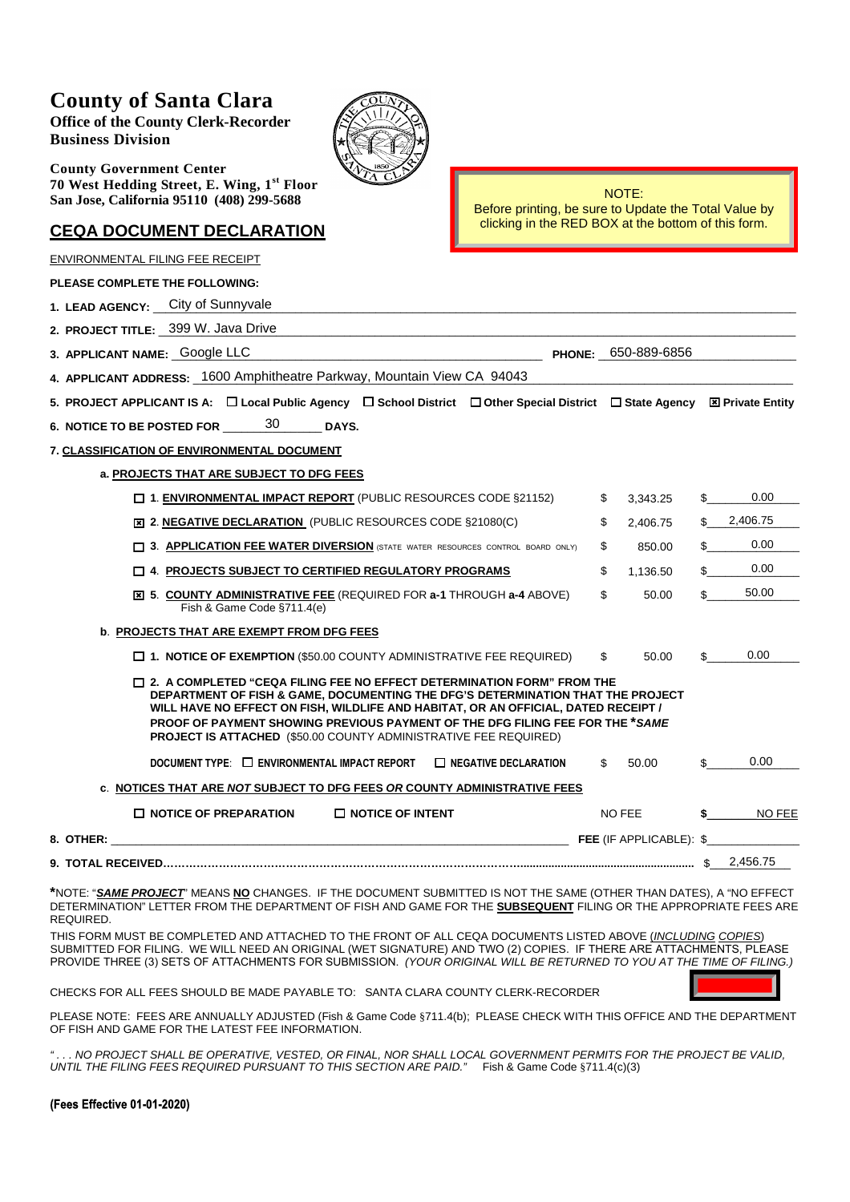## **County of Santa Clara**

**Office of the County Clerk-Recorder Business Division**

**County Government Center 70 West Hedding Street, E. Wing, 1st Floor San Jose, California 95110 (408) 299-5688**

## **CEQA DOCUMENT DECLARATION**

NOTE: Before printing, be sure to Update the Total Value by clicking in the RED BOX at the bottom of this form.

| ENVIRONMENTAL FILING FEE RECEIPT                                                                                                                                                                                                                                                                                                                                                                                          |                |    |               |
|---------------------------------------------------------------------------------------------------------------------------------------------------------------------------------------------------------------------------------------------------------------------------------------------------------------------------------------------------------------------------------------------------------------------------|----------------|----|---------------|
| <b>PLEASE COMPLETE THE FOLLOWING:</b>                                                                                                                                                                                                                                                                                                                                                                                     |                |    |               |
| 1. LEAD AGENCY: City of Sunnyvale                                                                                                                                                                                                                                                                                                                                                                                         |                |    |               |
| 2. PROJECT TITLE: _ 399 W. Java Drive                                                                                                                                                                                                                                                                                                                                                                                     |                |    |               |
| PHONE: 650-889-6856<br>3. APPLICANT NAME: Google LLC                                                                                                                                                                                                                                                                                                                                                                      |                |    |               |
| 4. APPLICANT ADDRESS: 1600 Amphitheatre Parkway, Mountain View CA 94043                                                                                                                                                                                                                                                                                                                                                   |                |    |               |
| 5. PROJECT APPLICANT IS A: $\Box$ Local Public Agency $\Box$ School District $\Box$ Other Special District $\Box$ State Agency $\boxtimes$ Private Entity                                                                                                                                                                                                                                                                 |                |    |               |
| 30<br>6. NOTICE TO BE POSTED FOR<br>DAYS.                                                                                                                                                                                                                                                                                                                                                                                 |                |    |               |
| 7. CLASSIFICATION OF ENVIRONMENTAL DOCUMENT                                                                                                                                                                                                                                                                                                                                                                               |                |    |               |
| a. PROJECTS THAT ARE SUBJECT TO DFG FEES                                                                                                                                                                                                                                                                                                                                                                                  |                |    |               |
| $\Box$ 1. <b>ENVIRONMENTAL IMPACT REPORT</b> (PUBLIC RESOURCES CODE §21152)                                                                                                                                                                                                                                                                                                                                               | \$<br>3,343.25 | S  | 0.00          |
| EI 2. NEGATIVE DECLARATION (PUBLIC RESOURCES CODE §21080(C)                                                                                                                                                                                                                                                                                                                                                               | \$<br>2.406.75 |    | 2,406.75      |
| [ 3. APPLICATION FEE WATER DIVERSION (STATE WATER RESOURCES CONTROL BOARD ONLY)                                                                                                                                                                                                                                                                                                                                           | \$<br>850.00   |    | 0.00          |
| $\Box$ 4. PROJECTS SUBJECT TO CERTIFIED REGULATORY PROGRAMS                                                                                                                                                                                                                                                                                                                                                               | \$<br>1.136.50 |    | 0.00          |
| <b>EI 5. COUNTY ADMINISTRATIVE FEE (REQUIRED FOR a-1 THROUGH a-4 ABOVE)</b><br>Fish & Game Code §711.4(e)                                                                                                                                                                                                                                                                                                                 | \$<br>50.00    |    | 50.00         |
| <b>b. PROJECTS THAT ARE EXEMPT FROM DFG FEES</b>                                                                                                                                                                                                                                                                                                                                                                          |                |    |               |
| $\Box$ 1. NOTICE OF EXEMPTION (\$50.00 COUNTY ADMINISTRATIVE FEE REQUIRED)                                                                                                                                                                                                                                                                                                                                                | \$<br>50.00    | \$ | 0.00          |
| $\Box$ 2. A COMPLETED "CEQA FILING FEE NO EFFECT DETERMINATION FORM" FROM THE<br>DEPARTMENT OF FISH & GAME, DOCUMENTING THE DFG'S DETERMINATION THAT THE PROJECT<br>WILL HAVE NO EFFECT ON FISH, WILDLIFE AND HABITAT, OR AN OFFICIAL, DATED RECEIPT /<br><b>PROOF OF PAYMENT SHOWING PREVIOUS PAYMENT OF THE DFG FILING FEE FOR THE *SAME</b><br><b>PROJECT IS ATTACHED (\$50.00 COUNTY ADMINISTRATIVE FEE REQUIRED)</b> |                |    |               |
| DOCUMENT TYPE: $\Box$ ENVIRONMENTAL IMPACT REPORT<br>$\Box$ NEGATIVE DECLARATION                                                                                                                                                                                                                                                                                                                                          | \$<br>50.00    | \$ | 0.00          |
| <b>C. NOTICES THAT ARE NOT SUBJECT TO DFG FEES OR COUNTY ADMINISTRATIVE FEES</b>                                                                                                                                                                                                                                                                                                                                          |                |    |               |
| $\Box$ NOTICE OF PREPARATION<br>$\Box$ NOTICE OF INTENT                                                                                                                                                                                                                                                                                                                                                                   | NO FEE         |    | <b>NO FEE</b> |
| 8. OTHER:                                                                                                                                                                                                                                                                                                                                                                                                                 |                |    |               |
|                                                                                                                                                                                                                                                                                                                                                                                                                           |                |    | 2,456.75      |
| فتناقض والمستحدث والمنافذ فالمستحدث الفاقية والممتحدة المتمالية والمتحددة                                                                                                                                                                                                                                                                                                                                                 |                |    |               |

**\***NOTE: "*SAME PROJECT*" MEANS **NO** CHANGES. IF THE DOCUMENT SUBMITTED IS NOT THE SAME (OTHER THAN DATES), A "NO EFFECT DETERMINATION" LETTER FROM THE DEPARTMENT OF FISH AND GAME FOR THE **SUBSEQUENT** FILING OR THE APPROPRIATE FEES ARE REQUIRED.

THIS FORM MUST BE COMPLETED AND ATTACHED TO THE FRONT OF ALL CEQA DOCUMENTS LISTED ABOVE (*INCLUDING COPIES*) SUBMITTED FOR FILING. WE WILL NEED AN ORIGINAL (WET SIGNATURE) AND TWO (2) COPIES. IF THERE ARE ATTACHMENTS, PLEASE PROVIDE THREE (3) SETS OF ATTACHMENTS FOR SUBMISSION. *(YOUR ORIGINAL WILL BE RETURNED TO YOU AT THE TIME OF FILING.)*

CHECKS FOR ALL FEES SHOULD BE MADE PAYABLE TO: SANTA CLARA COUNTY CLERK-RECORDER

PLEASE NOTE: FEES ARE ANNUALLY ADJUSTED (Fish & Game Code §711.4(b); PLEASE CHECK WITH THIS OFFICE AND THE DEPARTMENT OF FISH AND GAME FOR THE LATEST FEE INFORMATION.

. NO PROJECT SHALL BE OPERATIVE, VESTED, OR FINAL, NOR SHALL LOCAL GOVERNMENT PERMITS FOR THE PROJECT BE VALID, *UNTIL THE FILING FEES REQUIRED PURSUANT TO THIS SECTION ARE PAID."* Fish & Game Code §711.4(c)(3)

## **(Fees Effective 01-01-2020)**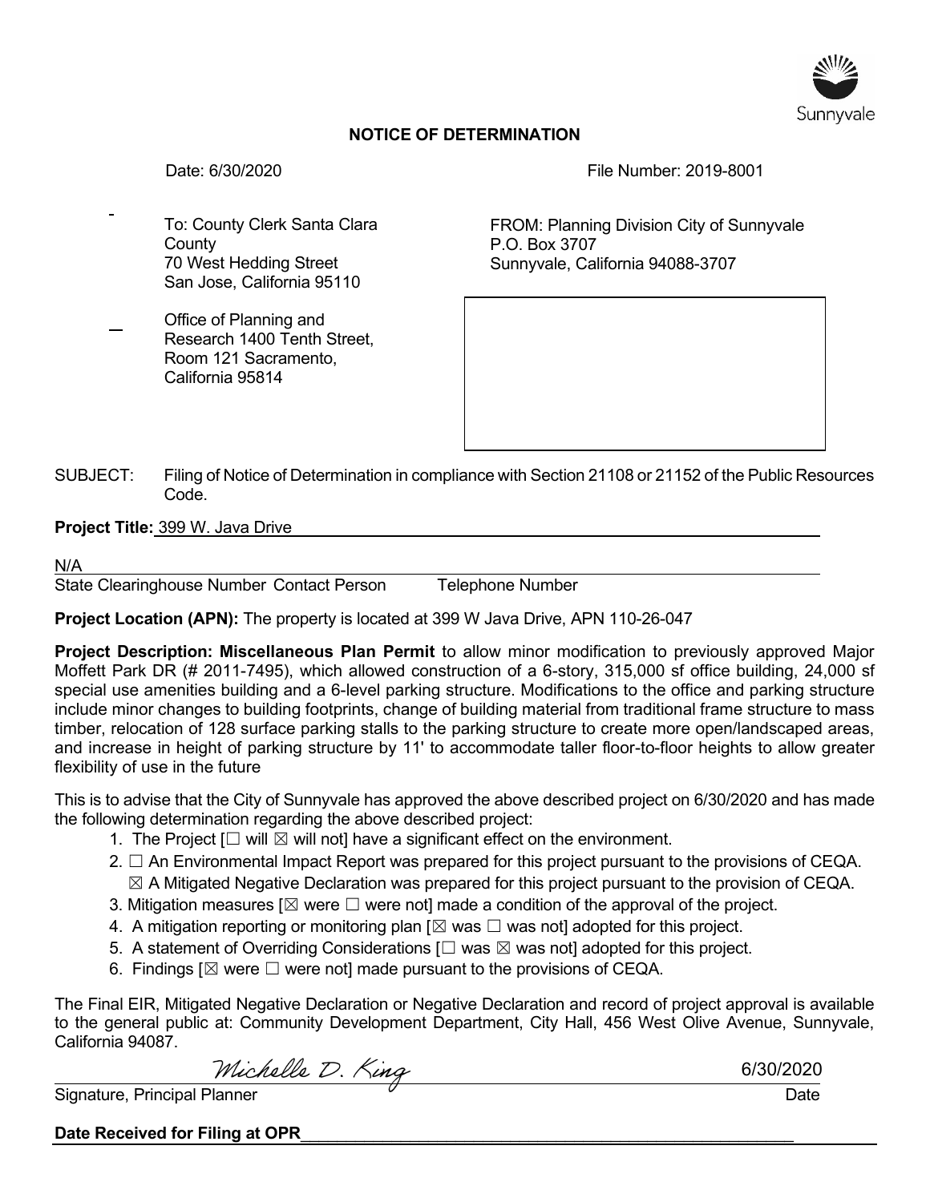

## **NOTICE OF DETERMINATION**

Date: 6/30/2020 File Number: 2019-8001

To: County Clerk Santa Clara **County** 70 West Hedding Street San Jose, California 95110

Office of Planning and Research 1400 Tenth Street, Room 121 Sacramento, California 95814

FROM: Planning Division City of Sunnyvale P.O. Box 3707 Sunnyvale, California 94088-3707

SUBJECT: Filing of Notice of Determination in compliance with Section 21108 or 21152 of the Public Resources Code.

**Project Title:** 399 W. Java Drive

N/A

State Clearinghouse Number Contact Person Telephone Number

**Project Location (APN):** The property is located at 399 W Java Drive, APN 110-26-047

**Project Description: Miscellaneous Plan Permit** to allow minor modification to previously approved Major Moffett Park DR (# 2011-7495), which allowed construction of a 6-story, 315,000 sf office building, 24,000 sf special use amenities building and a 6-level parking structure. Modifications to the office and parking structure include minor changes to building footprints, change of building material from traditional frame structure to mass timber, relocation of 128 surface parking stalls to the parking structure to create more open/landscaped areas, and increase in height of parking structure by 11' to accommodate taller floor-to-floor heights to allow greater flexibility of use in the future

This is to advise that the City of Sunnyvale has approved the above described project on 6/30/2020 and has made the following determination regarding the above described project:

- 1. The Project  $\Box$  will  $\boxtimes$  will not] have a significant effect on the environment.
- 2.  $\Box$  An Environmental Impact Report was prepared for this project pursuant to the provisions of CEQA.  $\boxtimes$  A Mitigated Negative Declaration was prepared for this project pursuant to the provision of CEQA.
- 3. Mitigation measures [ $\boxtimes$  were  $\Box$  were not] made a condition of the approval of the project.
- 4. A mitigation reporting or monitoring plan  $[\boxtimes$  was  $\square$  was not] adopted for this project.
- 5. A statement of Overriding Considerations  $[\Box$  was  $\boxtimes$  was not] adopted for this project.
- 6. Findings  $[\boxtimes]$  were  $\square$  were not] made pursuant to the provisions of CEQA.

The Final EIR, Mitigated Negative Declaration or Negative Declaration and record of project approval is available to the general public at: Community Development Department, City Hall, 456 West Olive Avenue, Sunnyvale, California 94087.

Michelle D. King

6/30/2020

Signature, Principal Planner  $\overline{a}$  Date Date Date Date Date Date Date

Date Received for Filing at OPR